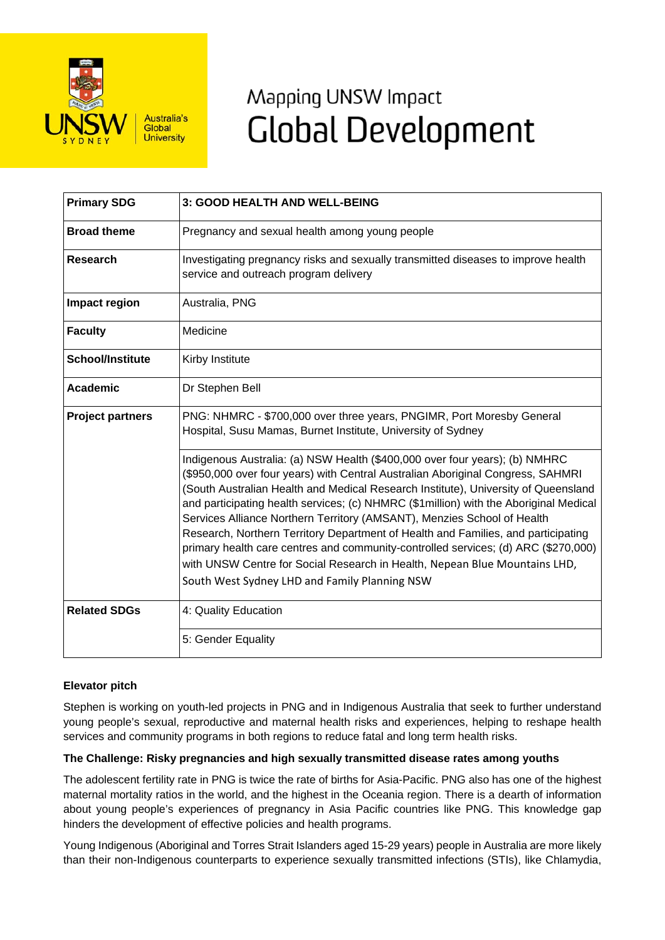

# Mapping UNSW Impact **Global Development**

| <b>Primary SDG</b>      | 3: GOOD HEALTH AND WELL-BEING                                                                                                                                                                                                                                                                                                                                                                                                                                                                                                                                                                                                                                                                                                       |
|-------------------------|-------------------------------------------------------------------------------------------------------------------------------------------------------------------------------------------------------------------------------------------------------------------------------------------------------------------------------------------------------------------------------------------------------------------------------------------------------------------------------------------------------------------------------------------------------------------------------------------------------------------------------------------------------------------------------------------------------------------------------------|
| <b>Broad theme</b>      | Pregnancy and sexual health among young people                                                                                                                                                                                                                                                                                                                                                                                                                                                                                                                                                                                                                                                                                      |
| Research                | Investigating pregnancy risks and sexually transmitted diseases to improve health<br>service and outreach program delivery                                                                                                                                                                                                                                                                                                                                                                                                                                                                                                                                                                                                          |
| Impact region           | Australia, PNG                                                                                                                                                                                                                                                                                                                                                                                                                                                                                                                                                                                                                                                                                                                      |
| <b>Faculty</b>          | Medicine                                                                                                                                                                                                                                                                                                                                                                                                                                                                                                                                                                                                                                                                                                                            |
| <b>School/Institute</b> | Kirby Institute                                                                                                                                                                                                                                                                                                                                                                                                                                                                                                                                                                                                                                                                                                                     |
| <b>Academic</b>         | Dr Stephen Bell                                                                                                                                                                                                                                                                                                                                                                                                                                                                                                                                                                                                                                                                                                                     |
| <b>Project partners</b> | PNG: NHMRC - \$700,000 over three years, PNGIMR, Port Moresby General<br>Hospital, Susu Mamas, Burnet Institute, University of Sydney                                                                                                                                                                                                                                                                                                                                                                                                                                                                                                                                                                                               |
|                         | Indigenous Australia: (a) NSW Health (\$400,000 over four years); (b) NMHRC<br>(\$950,000 over four years) with Central Australian Aboriginal Congress, SAHMRI<br>(South Australian Health and Medical Research Institute), University of Queensland<br>and participating health services; (c) NHMRC (\$1 million) with the Aboriginal Medical<br>Services Alliance Northern Territory (AMSANT), Menzies School of Health<br>Research, Northern Territory Department of Health and Families, and participating<br>primary health care centres and community-controlled services; (d) ARC (\$270,000)<br>with UNSW Centre for Social Research in Health, Nepean Blue Mountains LHD,<br>South West Sydney LHD and Family Planning NSW |
| <b>Related SDGs</b>     | 4: Quality Education                                                                                                                                                                                                                                                                                                                                                                                                                                                                                                                                                                                                                                                                                                                |
|                         | 5: Gender Equality                                                                                                                                                                                                                                                                                                                                                                                                                                                                                                                                                                                                                                                                                                                  |

# **Elevator pitch**

Stephen is working on youth-led projects in PNG and in Indigenous Australia that seek to further understand young people's sexual, reproductive and maternal health risks and experiences, helping to reshape health services and community programs in both regions to reduce fatal and long term health risks.

# **The Challenge: Risky pregnancies and high sexually transmitted disease rates among youths**

The adolescent fertility rate in PNG is twice the rate of births for Asia-Pacific. PNG also has one of the highest maternal mortality ratios in the world, and the highest in the Oceania region. There is a dearth of information about young people's experiences of pregnancy in Asia Pacific countries like PNG. This knowledge gap hinders the development of effective policies and health programs.

Young Indigenous (Aboriginal and Torres Strait Islanders aged 15-29 years) people in Australia are more likely than their non-Indigenous counterparts to experience sexually transmitted infections (STIs), like Chlamydia,